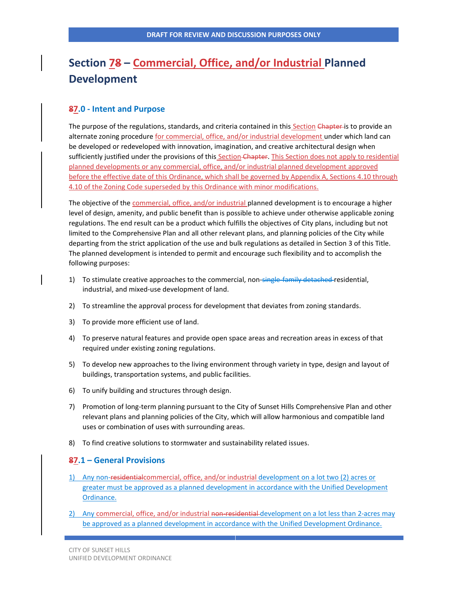# **Section 78 – Commercial, Office, and/or Industrial Planned Development**

# **87.0 - Intent and Purpose**

The purpose of the regulations, standards, and criteria contained in this Section Chapter is to provide an alternate zoning procedure for commercial, office, and/or industrial development under which land can be developed or redeveloped with innovation, imagination, and creative architectural design when sufficiently justified under the provisions of this Section Chapter. This Section does not apply to residential planned developments or any commercial, office, and/or industrial planned development approved before the effective date of this Ordinance, which shall be governed by Appendix A, Sections 4.10 through 4.10 of the Zoning Code superseded by this Ordinance with minor modifications.

The objective of the commercial, office, and/or industrial planned development is to encourage a higher level of design, amenity, and public benefit than is possible to achieve under otherwise applicable zoning regulations. The end result can be a product which fulfills the objectives of City plans, including but not limited to the Comprehensive Plan and all other relevant plans, and planning policies of the City while departing from the strict application of the use and bulk regulations as detailed in Section 3 of this Title. The planned development is intended to permit and encourage such flexibility and to accomplish the following purposes:

- 1) To stimulate creative approaches to the commercial, non-single-family detached-residential, industrial, and mixed-use development of land.
- 2) To streamline the approval process for development that deviates from zoning standards.
- 3) To provide more efficient use of land.
- 4) To preserve natural features and provide open space areas and recreation areas in excess of that required under existing zoning regulations.
- 5) To develop new approaches to the living environment through variety in type, design and layout of buildings, transportation systems, and public facilities.
- 6) To unify building and structures through design.
- 7) Promotion of long-term planning pursuant to the City of Sunset Hills Comprehensive Plan and other relevant plans and planning policies of the City, which will allow harmonious and compatible land uses or combination of uses with surrounding areas.
- 8) To find creative solutions to stormwater and sustainability related issues.

## **87.1 – General Provisions**

- 1) Any non-residentialcommercial, office, and/or industrial development on a lot two (2) acres or greater must be approved as a planned development in accordance with the Unified Development Ordinance.
- 2) Any commercial, office, and/or industrial non-residential development on a lot less than 2-acres may be approved as a planned development in accordance with the Unified Development Ordinance.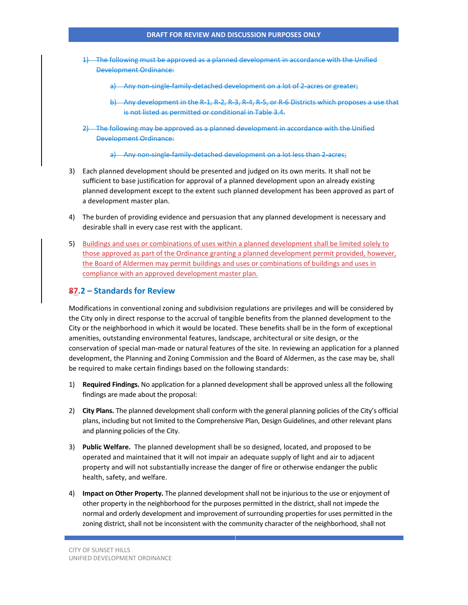- 1) The following must be approved as a planned development in accordance with the Unified Development Ordinance:
	- a) Any non-single-family-detached development on a lot of 2-acres or greater;
	- b) Any development in the R-1, R-2, R-3, R-4, R-5, or R-6 Districts which proposes a use that is not listed as permitted or conditional in Table 3.4.
- 2) The following may be approved as a planned development in accordance with the Unified Development Ordinance:

a) Any non-single-family-detached development on a lot less than 2-acres;

- 3) Each planned development should be presented and judged on its own merits. It shall not be sufficient to base justification for approval of a planned development upon an already existing planned development except to the extent such planned development has been approved as part of a development master plan.
- 4) The burden of providing evidence and persuasion that any planned development is necessary and desirable shall in every case rest with the applicant.
- 5) Buildings and uses or combinations of uses within a planned development shall be limited solely to those approved as part of the Ordinance granting a planned development permit provided, however, the Board of Aldermen may permit buildings and uses or combinations of buildings and uses in compliance with an approved development master plan.

## **87.2 – Standards for Review**

Modifications in conventional zoning and subdivision regulations are privileges and will be considered by the City only in direct response to the accrual of tangible benefits from the planned development to the City or the neighborhood in which it would be located. These benefits shall be in the form of exceptional amenities, outstanding environmental features, landscape, architectural or site design, or the conservation of special man-made or natural features of the site. In reviewing an application for a planned development, the Planning and Zoning Commission and the Board of Aldermen, as the case may be, shall be required to make certain findings based on the following standards:

- 1) **Required Findings.** No application for a planned developmentshall be approved unless all the following findings are made about the proposal:
- 2) **City Plans.** The planned development shall conform with the general planning policies of the City's official plans, including but not limited to the Comprehensive Plan, Design Guidelines, and other relevant plans and planning policies of the City.
- 3) **Public Welfare.** The planned development shall be so designed, located, and proposed to be operated and maintained that it will not impair an adequate supply of light and air to adjacent property and will not substantially increase the danger of fire or otherwise endanger the public health, safety, and welfare.
- 4) **Impact on Other Property.** The planned developmentshall not be injurious to the use or enjoyment of other property in the neighborhood for the purposes permitted in the district, shall not impede the normal and orderly development and improvement of surrounding properties for uses permitted in the zoning district, shall not be inconsistent with the community character of the neighborhood, shall not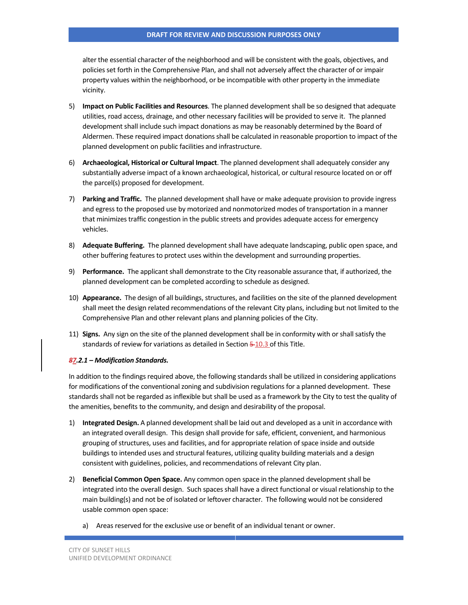alter the essential character of the neighborhood and will be consistent with the goals, objectives, and policies set forth in the Comprehensive Plan, and shall not adversely affect the character of or impair property values within the neighborhood, or be incompatible with other property in the immediate vicinity.

- 5) **Impact on Public Facilities and Resources**. The planned development shall be so designed that adequate utilities, road access, drainage, and other necessary facilities will be provided to serve it. The planned development shall include such impact donations as may be reasonably determined by the Board of Aldermen. These required impact donations shall be calculated in reasonable proportion to impact of the planned development on public facilities and infrastructure.
- 6) **Archaeological, Historical or Cultural Impact**. The planned development shall adequately consider any substantially adverse impact of a known archaeological, historical, or cultural resource located on or off the parcel(s) proposed for development.
- 7) **Parking and Traffic.** The planned developmentshall have or make adequate provision to provide ingress and egress to the proposed use by motorized and nonmotorized modes of transportation in a manner that minimizes traffic congestion in the public streets and provides adequate access for emergency vehicles.
- 8) **Adequate Buffering.** The planned development shall have adequate landscaping, public open space, and other buffering features to protect uses within the development and surrounding properties.
- 9) **Performance.** The applicant shall demonstrate to the City reasonable assurance that, if authorized, the planned development can be completed according to schedule as designed.
- 10) **Appearance.** The design of all buildings, structures, and facilities on the site of the planned development shall meet the design related recommendations of the relevant City plans, including but not limited to the Comprehensive Plan and other relevant plans and planning policies of the City.
- 11) **Signs.** Any sign on the site of the planned development shall be in conformity with or shall satisfy the standards of review for variations as detailed in Section  $\frac{5-10.3}{5}$  of this Title.

#### *87.2.1 – Modification Standards.*

In addition to the findings required above, the following standards shall be utilized in considering applications for modifications of the conventional zoning and subdivision regulations for a planned development. These standards shall not be regarded as inflexible but shall be used as a framework by the City to test the quality of the amenities, benefits to the community, and design and desirability of the proposal.

- 1) **Integrated Design.** A planned developmentshall be laid out and developed as a unit in accordance with an integrated overall design. This design shall provide for safe, efficient, convenient, and harmonious grouping of structures, uses and facilities, and for appropriate relation of space inside and outside buildings to intended uses and structural features, utilizing quality building materials and a design consistent with guidelines, policies, and recommendations of relevant City plan.
- 2) **Beneficial Common Open Space.** Any common open space in the planned developmentshall be integrated into the overall design. Such spaces shall have a direct functional or visual relationship to the main building(s) and not be of isolated or leftover character. The following would not be considered usable common open space:
	- a) Areas reserved for the exclusive use or benefit of an individual tenant or owner.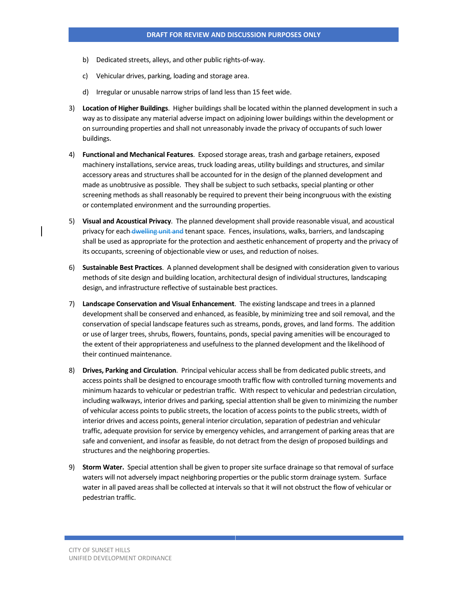- b) Dedicated streets, alleys, and other public rights-of-way.
- c) Vehicular drives, parking, loading and storage area.
- d) Irregular or unusable narrow strips of land less than 15 feet wide.
- 3) **Location of Higher Buildings**. Higher buildings shall be located within the planned development in such a way as to dissipate any material adverse impact on adjoining lower buildings within the development or on surrounding properties and shall not unreasonably invade the privacy of occupants of such lower buildings.
- 4) **Functional and Mechanical Features**. Exposed storage areas, trash and garbage retainers, exposed machinery installations, service areas, truck loading areas, utility buildings and structures, and similar accessory areas and structures shall be accounted for in the design of the planned development and made as unobtrusive as possible. They shall be subject to such setbacks, special planting or other screening methods as shall reasonably be required to prevent their being incongruous with the existing or contemplated environment and the surrounding properties.
- 5) **Visual and Acoustical Privacy**. The planned development shall provide reasonable visual, and acoustical privacy for each-dwelling unit and tenant space. Fences, insulations, walks, barriers, and landscaping shall be used as appropriate for the protection and aesthetic enhancement of property and the privacy of its occupants, screening of objectionable view or uses, and reduction of noises.
- 6) **Sustainable Best Practices**. A planned developmentshall be designed with consideration given to various methods of site design and building location, architectural design of individual structures, landscaping design, and infrastructure reflective of sustainable best practices.
- 7) **Landscape Conservation and Visual Enhancement**. The existing landscape and trees in a planned development shall be conserved and enhanced, as feasible, by minimizing tree and soil removal, and the conservation of special landscape features such as streams, ponds, groves, and land forms. The addition or use of larger trees, shrubs, flowers, fountains, ponds, special paving amenities will be encouraged to the extent of their appropriateness and usefulness to the planned development and the likelihood of their continued maintenance.
- 8) **Drives, Parking and Circulation**. Principal vehicular access shall be from dedicated public streets, and access points shall be designed to encourage smooth traffic flow with controlled turning movements and minimum hazards to vehicular or pedestrian traffic. With respect to vehicular and pedestrian circulation, including walkways, interior drives and parking, special attention shall be given to minimizing the number of vehicular access points to public streets, the location of access points to the public streets, width of interior drives and access points, general interior circulation, separation of pedestrian and vehicular traffic, adequate provision for service by emergency vehicles, and arrangement of parking areas that are safe and convenient, and insofar as feasible, do not detract from the design of proposed buildings and structures and the neighboring properties.
- 9) **Storm Water.** Special attention shall be given to proper site surface drainage so that removal of surface waters will not adversely impact neighboring properties or the public storm drainage system. Surface water in all paved areas shall be collected at intervals so that it will not obstruct the flow of vehicular or pedestrian traffic.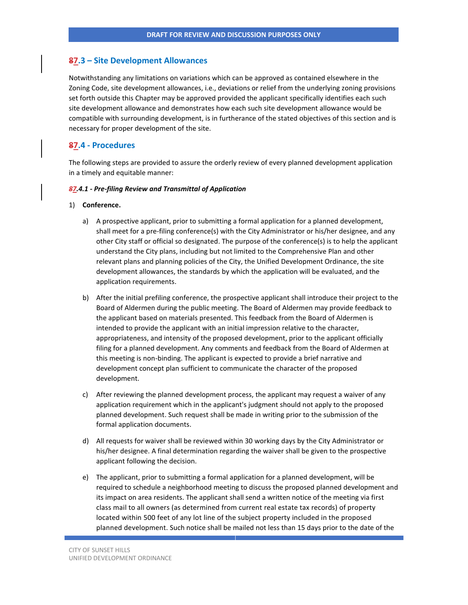# **87.3 – Site Development Allowances**

Notwithstanding any limitations on variations which can be approved as contained elsewhere in the Zoning Code, site development allowances, i.e., deviations or relief from the underlying zoning provisions set forth outside this Chapter may be approved provided the applicant specifically identifies each such site development allowance and demonstrates how each such site development allowance would be compatible with surrounding development, is in furtherance of the stated objectives of this section and is necessary for proper development of the site.

## **87.4 - Procedures**

The following steps are provided to assure the orderly review of every planned development application in a timely and equitable manner:

#### *87.4.1 - Pre-filing Review and Transmittal of Application*

#### 1) **Conference.**

- a) A prospective applicant, prior to submitting a formal application for a planned development, shall meet for a pre-filing conference(s) with the City Administrator or his/her designee, and any other City staff or official so designated. The purpose of the conference(s) is to help the applicant understand the City plans, including but not limited to the Comprehensive Plan and other relevant plans and planning policies of the City, the Unified Development Ordinance, the site development allowances, the standards by which the application will be evaluated, and the application requirements.
- b) After the initial prefiling conference, the prospective applicant shall introduce their project to the Board of Aldermen during the public meeting. The Board of Aldermen may provide feedback to the applicant based on materials presented. This feedback from the Board of Aldermen is intended to provide the applicant with an initial impression relative to the character, appropriateness, and intensity of the proposed development, prior to the applicant officially filing for a planned development. Any comments and feedback from the Board of Aldermen at this meeting is non-binding. The applicant is expected to provide a brief narrative and development concept plan sufficient to communicate the character of the proposed development.
- c) After reviewing the planned development process, the applicant may request a waiver of any application requirement which in the applicant's judgment should not apply to the proposed planned development. Such request shall be made in writing prior to the submission of the formal application documents.
- d) All requests for waiver shall be reviewed within 30 working days by the City Administrator or his/her designee. A final determination regarding the waiver shall be given to the prospective applicant following the decision.
- e) The applicant, prior to submitting a formal application for a planned development, will be required to schedule a neighborhood meeting to discuss the proposed planned development and its impact on area residents. The applicant shall send a written notice of the meeting via first class mail to all owners (as determined from current real estate tax records) of property located within 500 feet of any lot line of the subject property included in the proposed planned development. Such notice shall be mailed not less than 15 days prior to the date of the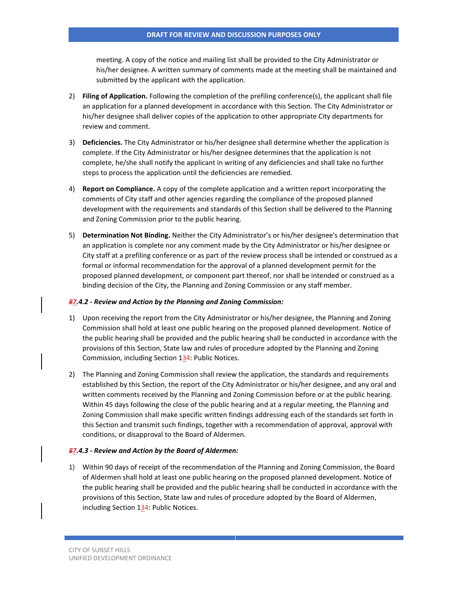meeting. A copy of the notice and mailing list shall be provided to the City Administrator or his/her designee. A written summary of comments made at the meeting shall be maintained and submitted by the applicant with the application.

- 2) **Filing of Application.** Following the completion of the prefiling conference(s), the applicant shall file an application for a planned development in accordance with this Section. The City Administrator or his/her designee shall deliver copies of the application to other appropriate City departments for review and comment.
- 3) **Deficiencies.** The City Administrator or his/her designee shall determine whether the application is complete. If the City Administrator or his/her designee determines that the application is not complete, he/she shall notify the applicant in writing of any deficiencies and shall take no further steps to process the application until the deficiencies are remedied.
- 4) **Report on Compliance.** A copy of the complete application and a written report incorporating the comments of City staff and other agencies regarding the compliance of the proposed planned development with the requirements and standards of this Section shall be delivered to the Planning and Zoning Commission prior to the public hearing.
- 5) **Determination Not Binding.** Neither the City Administrator's or his/her designee's determination that an application is complete nor any comment made by the City Administrator or his/her designee or City staff at a prefiling conference or as part of the review process shall be intended or construed as a formal or informal recommendation for the approval of a planned development permit for the proposed planned development, or component part thereof, nor shall be intended or construed as a binding decision of the City, the Planning and Zoning Commission or any staff member.

#### *87.4.2 - Review and Action by the Planning and Zoning Commission:*

- 1) Upon receiving the report from the City Administrator or his/her designee, the Planning and Zoning Commission shall hold at least one public hearing on the proposed planned development. Notice of the public hearing shall be provided and the public hearing shall be conducted in accordance with the provisions of this Section, State law and rules of procedure adopted by the Planning and Zoning Commission, including Section 134: Public Notices.
- 2) The Planning and Zoning Commission shall review the application, the standards and requirements established by this Section, the report of the City Administrator or his/her designee, and any oral and written comments received by the Planning and Zoning Commission before or at the public hearing. Within 45 days following the close of the public hearing and at a regular meeting, the Planning and Zoning Commission shall make specific written findings addressing each of the standards set forth in this Section and transmit such findings, together with a recommendation of approval, approval with conditions, or disapproval to the Board of Aldermen.

#### *87.4.3 - Review and Action by the Board of Aldermen:*

1) Within 90 days of receipt of the recommendation of the Planning and Zoning Commission, the Board of Aldermen shall hold at least one public hearing on the proposed planned development. Notice of the public hearing shall be provided and the public hearing shall be conducted in accordance with the provisions of this Section, State law and rules of procedure adopted by the Board of Aldermen, including Section 134: Public Notices.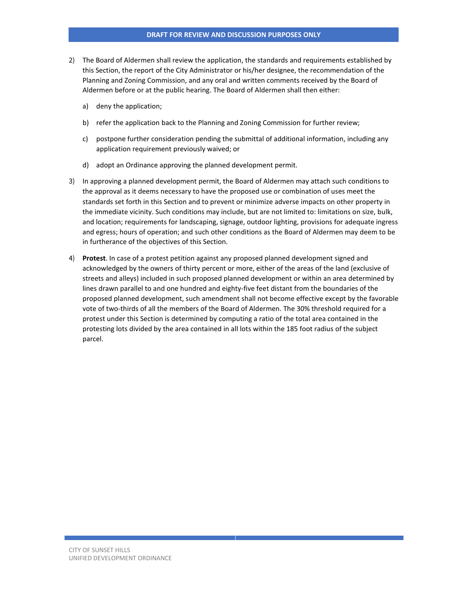- 2) The Board of Aldermen shall review the application, the standards and requirements established by this Section, the report of the City Administrator or his/her designee, the recommendation of the Planning and Zoning Commission, and any oral and written comments received by the Board of Aldermen before or at the public hearing. The Board of Aldermen shall then either:
	- a) deny the application;
	- b) refer the application back to the Planning and Zoning Commission for further review;
	- c) postpone further consideration pending the submittal of additional information, including any application requirement previously waived; or
	- d) adopt an Ordinance approving the planned development permit.
- 3) In approving a planned development permit, the Board of Aldermen may attach such conditions to the approval as it deems necessary to have the proposed use or combination of uses meet the standards set forth in this Section and to prevent or minimize adverse impacts on other property in the immediate vicinity. Such conditions may include, but are not limited to: limitations on size, bulk, and location; requirements for landscaping, signage, outdoor lighting, provisions for adequate ingress and egress; hours of operation; and such other conditions as the Board of Aldermen may deem to be in furtherance of the objectives of this Section.
- 4) **Protest**. In case of a protest petition against any proposed planned development signed and acknowledged by the owners of thirty percent or more, either of the areas of the land (exclusive of streets and alleys) included in such proposed planned development or within an area determined by lines drawn parallel to and one hundred and eighty-five feet distant from the boundaries of the proposed planned development, such amendment shall not become effective except by the favorable vote of two-thirds of all the members of the Board of Aldermen. The 30% threshold required for a protest under this Section is determined by computing a ratio of the total area contained in the protesting lots divided by the area contained in all lots within the 185 foot radius of the subject parcel.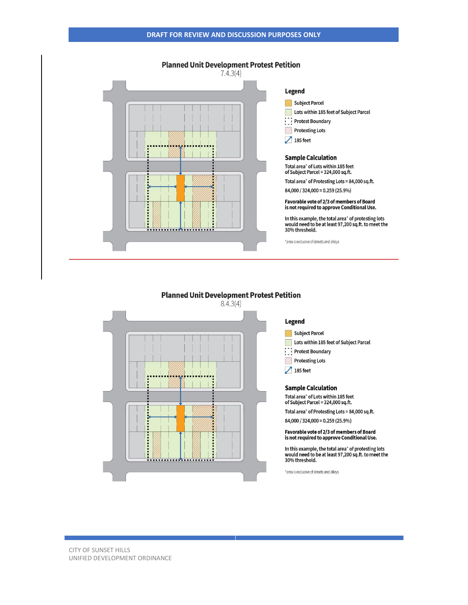

# **Planned Unit Development Protest Petition**



#### Legend

Subject Parcel

Lots within 185 feet of Subject Parcel

Protest Boundary

- Protesting Lots
- $\sqrt{185 \text{ feet}}$

#### **Sample Calculation**

Total area\* of Lots within 185 feet<br>of Subject Parcel = 324,000 sq.ft.

Total area\* of Protesting Lots = 84,000 sq.ft.

84,000 / 324,000 = 0.259 (25.9%)

#### Favorable vote of 2/3 of members of Board is not required to approve Conditional Use.

In this example, the total area' of protesting lots<br>would need to be at least 97,200 sq.ft. to meet the<br>30% threshold.

\*area is exclusive of streets and alleys

CITY OF SUNSET HILLS UNIFIED DEVELOPMENT ORDINANCE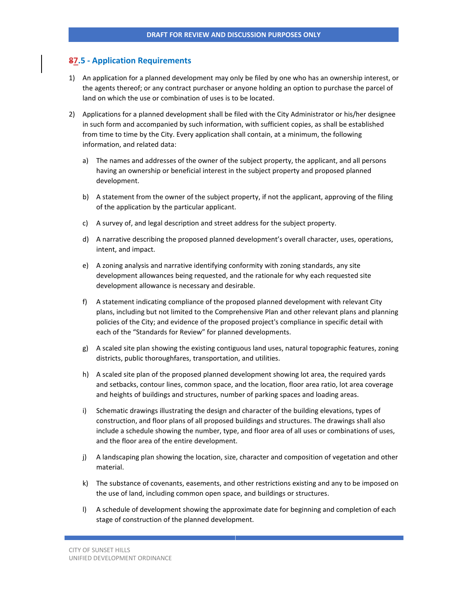# **87.5 - Application Requirements**

- 1) An application for a planned development may only be filed by one who has an ownership interest, or the agents thereof; or any contract purchaser or anyone holding an option to purchase the parcel of land on which the use or combination of uses is to be located.
- 2) Applications for a planned development shall be filed with the City Administrator or his/her designee in such form and accompanied by such information, with sufficient copies, as shall be established from time to time by the City. Every application shall contain, at a minimum, the following information, and related data:
	- a) The names and addresses of the owner of the subject property, the applicant, and all persons having an ownership or beneficial interest in the subject property and proposed planned development.
	- b) A statement from the owner of the subject property, if not the applicant, approving of the filing of the application by the particular applicant.
	- c) A survey of, and legal description and street address for the subject property.
	- d) A narrative describing the proposed planned development's overall character, uses, operations, intent, and impact.
	- e) A zoning analysis and narrative identifying conformity with zoning standards, any site development allowances being requested, and the rationale for why each requested site development allowance is necessary and desirable.
	- f) A statement indicating compliance of the proposed planned development with relevant City plans, including but not limited to the Comprehensive Plan and other relevant plans and planning policies of the City; and evidence of the proposed project's compliance in specific detail with each of the "Standards for Review" for planned developments.
	- g) A scaled site plan showing the existing contiguous land uses, natural topographic features, zoning districts, public thoroughfares, transportation, and utilities.
	- h) A scaled site plan of the proposed planned development showing lot area, the required yards and setbacks, contour lines, common space, and the location, floor area ratio, lot area coverage and heights of buildings and structures, number of parking spaces and loading areas.
	- i) Schematic drawings illustrating the design and character of the building elevations, types of construction, and floor plans of all proposed buildings and structures. The drawings shall also include a schedule showing the number, type, and floor area of all uses or combinations of uses, and the floor area of the entire development.
	- j) A landscaping plan showing the location, size, character and composition of vegetation and other material.
	- k) The substance of covenants, easements, and other restrictions existing and any to be imposed on the use of land, including common open space, and buildings or structures.
	- l) A schedule of development showing the approximate date for beginning and completion of each stage of construction of the planned development.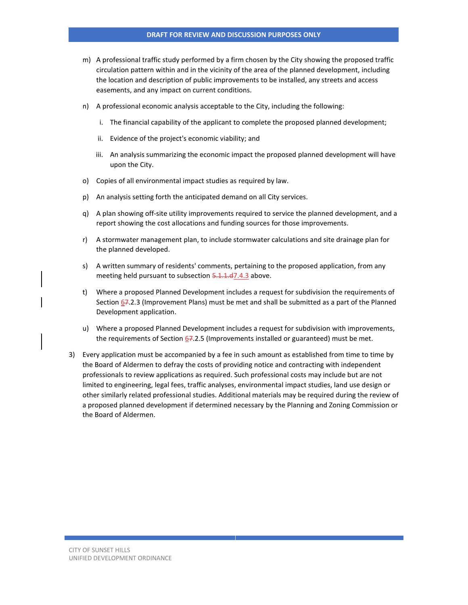- m) A professional traffic study performed by a firm chosen by the City showing the proposed traffic circulation pattern within and in the vicinity of the area of the planned development, including the location and description of public improvements to be installed, any streets and access easements, and any impact on current conditions.
- n) A professional economic analysis acceptable to the City, including the following:
	- i. The financial capability of the applicant to complete the proposed planned development;
	- ii. Evidence of the project's economic viability; and
	- iii. An analysis summarizing the economic impact the proposed planned development will have upon the City.
- o) Copies of all environmental impact studies as required by law.
- p) An analysis setting forth the anticipated demand on all City services.
- q) A plan showing off-site utility improvements required to service the planned development, and a report showing the cost allocations and funding sources for those improvements.
- r) A stormwater management plan, to include stormwater calculations and site drainage plan for the planned developed.
- s) A written summary of residents' comments, pertaining to the proposed application, from any meeting held pursuant to subsection 5.1.1.d7.4.3 above.
- t) Where a proposed Planned Development includes a request for subdivision the requirements of Section  $67.2.3$  (Improvement Plans) must be met and shall be submitted as a part of the Planned Development application.
- u) Where a proposed Planned Development includes a request for subdivision with improvements, the requirements of Section  $67.2.5$  (Improvements installed or guaranteed) must be met.
- 3) Every application must be accompanied by a fee in such amount as established from time to time by the Board of Aldermen to defray the costs of providing notice and contracting with independent professionals to review applications as required. Such professional costs may include but are not limited to engineering, legal fees, traffic analyses, environmental impact studies, land use design or other similarly related professional studies. Additional materials may be required during the review of a proposed planned development if determined necessary by the Planning and Zoning Commission or the Board of Aldermen.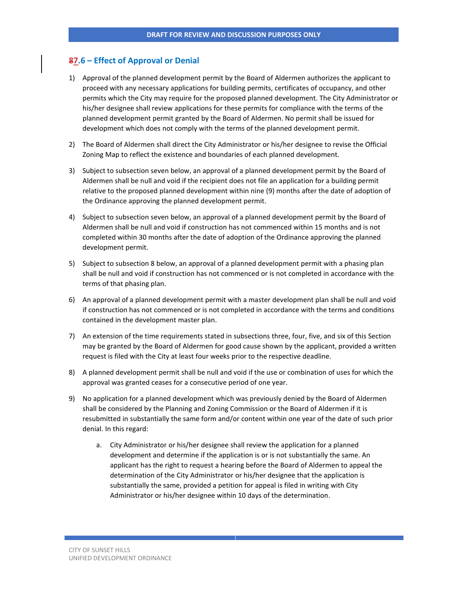# **87.6 – Effect of Approval or Denial**

- 1) Approval of the planned development permit by the Board of Aldermen authorizes the applicant to proceed with any necessary applications for building permits, certificates of occupancy, and other permits which the City may require for the proposed planned development. The City Administrator or his/her designee shall review applications for these permits for compliance with the terms of the planned development permit granted by the Board of Aldermen. No permit shall be issued for development which does not comply with the terms of the planned development permit.
- 2) The Board of Aldermen shall direct the City Administrator or his/her designee to revise the Official Zoning Map to reflect the existence and boundaries of each planned development.
- 3) Subject to subsection seven below, an approval of a planned development permit by the Board of Aldermen shall be null and void if the recipient does not file an application for a building permit relative to the proposed planned development within nine (9) months after the date of adoption of the Ordinance approving the planned development permit.
- 4) Subject to subsection seven below, an approval of a planned development permit by the Board of Aldermen shall be null and void if construction has not commenced within 15 months and is not completed within 30 months after the date of adoption of the Ordinance approving the planned development permit.
- 5) Subject to subsection 8 below, an approval of a planned development permit with a phasing plan shall be null and void if construction has not commenced or is not completed in accordance with the terms of that phasing plan.
- 6) An approval of a planned development permit with a master development plan shall be null and void if construction has not commenced or is not completed in accordance with the terms and conditions contained in the development master plan.
- 7) An extension of the time requirements stated in subsections three, four, five, and six of this Section may be granted by the Board of Aldermen for good cause shown by the applicant, provided a written request is filed with the City at least four weeks prior to the respective deadline.
- 8) A planned development permit shall be null and void if the use or combination of uses for which the approval was granted ceases for a consecutive period of one year.
- 9) No application for a planned development which was previously denied by the Board of Aldermen shall be considered by the Planning and Zoning Commission or the Board of Aldermen if it is resubmitted in substantially the same form and/or content within one year of the date of such prior denial. In this regard:
	- a. City Administrator or his/her designee shall review the application for a planned development and determine if the application is or is not substantially the same. An applicant has the right to request a hearing before the Board of Aldermen to appeal the determination of the City Administrator or his/her designee that the application is substantially the same, provided a petition for appeal is filed in writing with City Administrator or his/her designee within 10 days of the determination.